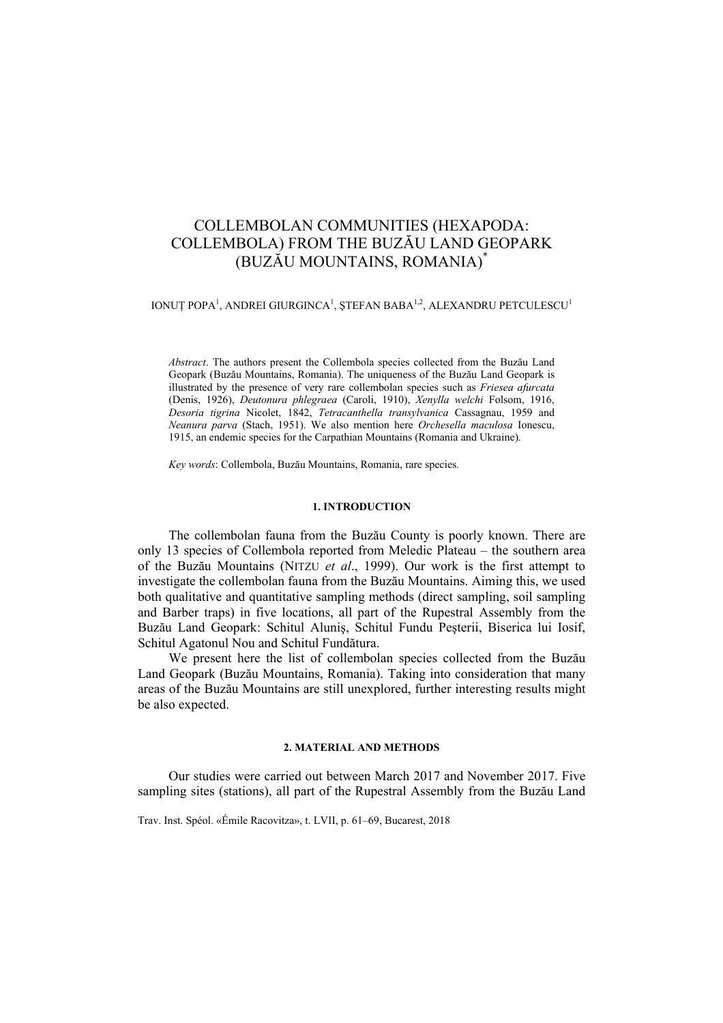# COLLEMBOLAN COMMUNITIES (HEXAPODA: COLLEMBOLA) FROM THE BUZĂU LAND GEOPARK (BUZĂU MOUNTAINS, ROMANIA)\*

IONUȚ POPA<sup>1</sup>, ANDREI GIURGINCA<sup>1</sup>, ȘTEFAN BABA<sup>1,2</sup>, ALEXANDRU PETCULESCU<sup>1</sup>

*Abstract*. The authors present the Collembola species collected from the Buzău Land Geopark (Buzău Mountains, Romania). The uniqueness of the Buzău Land Geopark is illustrated by the presence of very rare collembolan species such as *Friesea afurcata*  (Denis, 1926), *Deutonura phlegraea* (Caroli, 1910), *Xenylla welchi* Folsom, 1916, *Desoria tigrina* Nicolet, 1842, *Tetracanthella transylvanica* Cassagnau, 1959 and *Neanura parva* (Stach, 1951). We also mention here *Orchesella maculosa* Ionescu, 1915, an endemic species for the Carpathian Mountains (Romania and Ukraine).

*Key words*: Collembola, Buzău Mountains, Romania, rare species.

## **1. INTRODUCTION**

The collembolan fauna from the Buzău County is poorly known. There are only 13 species of Collembola reported from Meledic Plateau – the southern area of the Buzău Mountains (NITZU *et al*., 1999). Our work is the first attempt to investigate the collembolan fauna from the Buzău Mountains. Aiming this, we used both qualitative and quantitative sampling methods (direct sampling, soil sampling and Barber traps) in five locations, all part of the Rupestral Assembly from the Buzău Land Geopark: Schitul Aluniş, Schitul Fundu Peşterii, Biserica lui Iosif, Schitul Agatonul Nou and Schitul Fundătura.

We present here the list of collembolan species collected from the Buzău Land Geopark (Buzău Mountains, Romania). Taking into consideration that many areas of the Buzău Mountains are still unexplored, further interesting results might be also expected.

#### **2. MATERIAL AND METHODS**

Our studies were carried out between March 2017 and November 2017. Five sampling sites (stations), all part of the Rupestral Assembly from the Buzău Land

Trav. Inst. Spéol. «Émile Racovitza», t. LVII, p. 61–69, Bucarest, 2018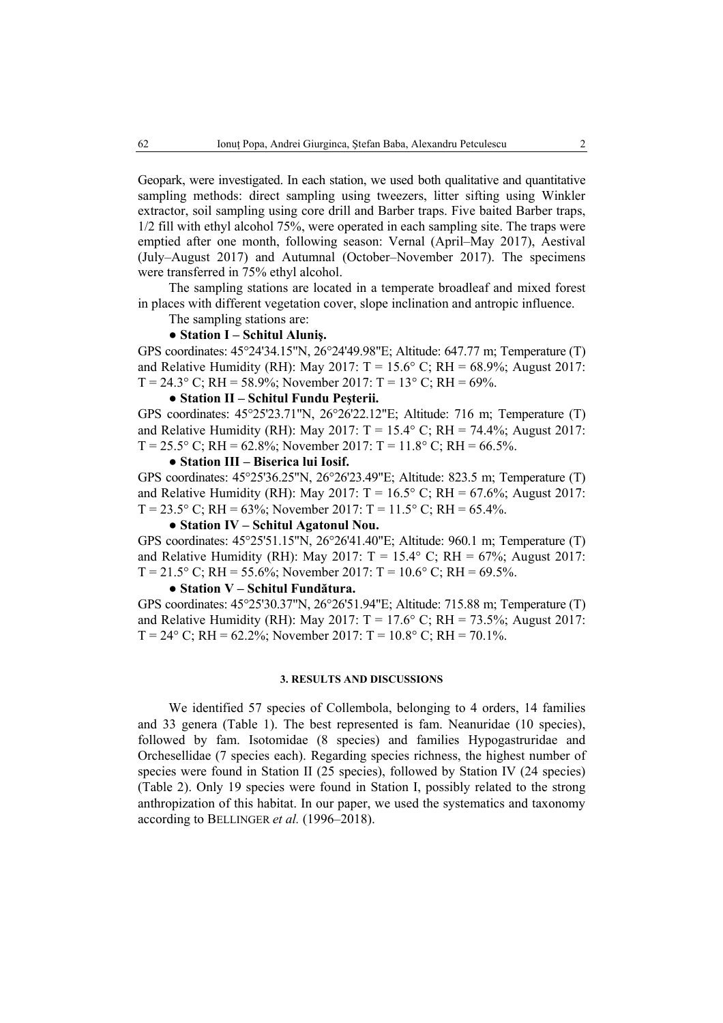Geopark, were investigated. In each station, we used both qualitative and quantitative sampling methods: direct sampling using tweezers, litter sifting using Winkler extractor, soil sampling using core drill and Barber traps. Five baited Barber traps, 1/2 fill with ethyl alcohol 75%, were operated in each sampling site. The traps were emptied after one month, following season: Vernal (April–May 2017), Aestival (July–August 2017) and Autumnal (October–November 2017). The specimens were transferred in 75% ethyl alcohol.

The sampling stations are located in a temperate broadleaf and mixed forest in places with different vegetation cover, slope inclination and antropic influence.

The sampling stations are:

## ● **Station I – Schitul Aluniş.**

GPS coordinates: 45°24'34.15"N, 26°24'49.98"E; Altitude: 647.77 m; Temperature (T) and Relative Humidity (RH): May 2017:  $T = 15.6^{\circ}$  C; RH = 68.9%; August 2017:  $T = 24.3^{\circ}$  C; RH = 58.9%; November 2017: T = 13° C; RH = 69%.

#### ● **Station II – Schitul Fundu Peşterii.**

GPS coordinates: 45°25'23.71"N, 26°26'22.12"E; Altitude: 716 m; Temperature (T) and Relative Humidity (RH): May 2017:  $T = 15.4^{\circ}$  C; RH = 74.4%; August 2017:  $T = 25.5^{\circ}$  C; RH = 62.8%; November 2017: T = 11.8° C; RH = 66.5%.

### ● **Station III – Biserica lui Iosif.**

GPS coordinates: 45°25'36.25"N, 26°26'23.49"E; Altitude: 823.5 m; Temperature (T) and Relative Humidity (RH): May 2017:  $T = 16.5^{\circ}$  C; RH = 67.6%; August 2017:  $T = 23.5^{\circ}$  C; RH = 63%; November 2017: T = 11.5° C; RH = 65.4%.

## ● **Station IV – Schitul Agatonul Nou.**

GPS coordinates: 45°25'51.15"N, 26°26'41.40"E; Altitude: 960.1 m; Temperature (T) and Relative Humidity (RH): May 2017:  $T = 15.4^{\circ}$  C; RH = 67%; August 2017:  $T = 21.5^{\circ}$  C; RH = 55.6%; November 2017: T = 10.6° C; RH = 69.5%.

#### ● **Station V – Schitul Fundătura.**

GPS coordinates: 45°25'30.37"N, 26°26'51.94"E; Altitude: 715.88 m; Temperature (T) and Relative Humidity (RH): May 2017:  $T = 17.6^{\circ}$  C; RH = 73.5%; August 2017:  $T = 24^{\circ}$  C; RH = 62.2%; November 2017: T = 10.8° C; RH = 70.1%.

## **3. RESULTS AND DISCUSSIONS**

We identified 57 species of Collembola, belonging to 4 orders, 14 families and 33 genera (Table 1). The best represented is fam. Neanuridae (10 species), followed by fam. Isotomidae (8 species) and families Hypogastruridae and Orchesellidae (7 species each). Regarding species richness, the highest number of species were found in Station II (25 species), followed by Station IV (24 species) (Table 2). Only 19 species were found in Station I, possibly related to the strong anthropization of this habitat. In our paper, we used the systematics and taxonomy according to BELLINGER *et al.* (1996–2018).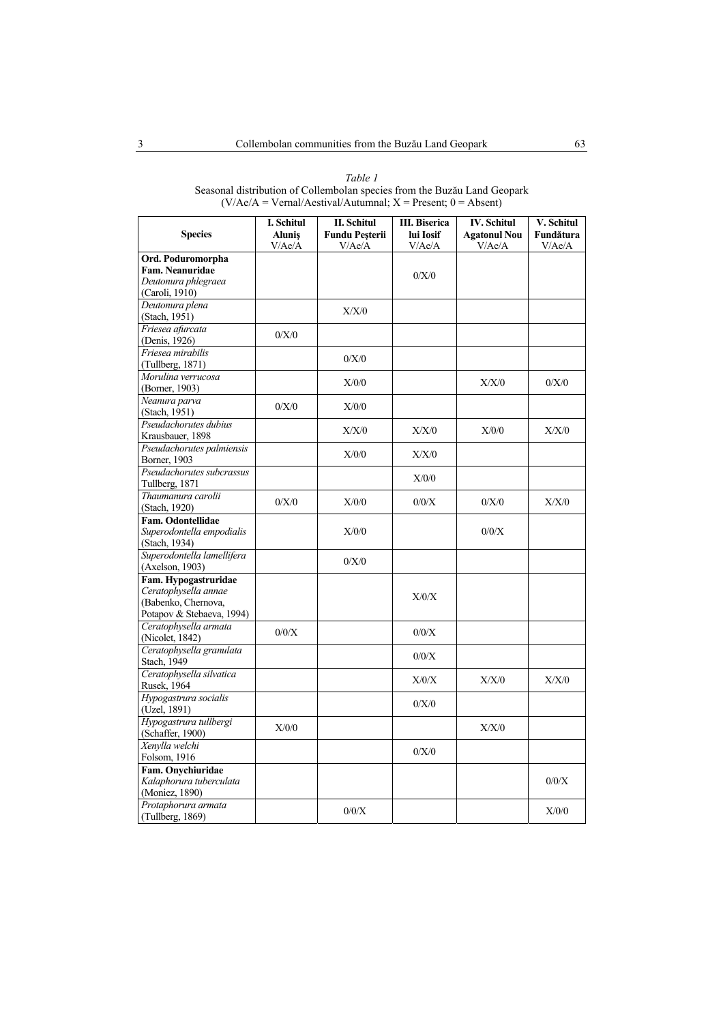| <b>Species</b>             | I. Schitul<br><b>Alunis</b><br>V/Ae/A | II. Schitul<br><b>Fundu Pesterii</b><br>V/Ae/A | <b>III.</b> Biserica<br>lui Iosif<br>V/Ae/A | <b>IV.</b> Schitul<br><b>Agatonul Nou</b><br>V/Ae/A | V. Schitul<br>Fundătura<br>V/Ae/A |
|----------------------------|---------------------------------------|------------------------------------------------|---------------------------------------------|-----------------------------------------------------|-----------------------------------|
| Ord. Poduromorpha          |                                       |                                                |                                             |                                                     |                                   |
| Fam. Neanuridae            |                                       |                                                |                                             |                                                     |                                   |
| Deutonura phlegraea        |                                       |                                                | 0/X/0                                       |                                                     |                                   |
| (Caroli, 1910)             |                                       |                                                |                                             |                                                     |                                   |
| Deutonura plena            |                                       |                                                |                                             |                                                     |                                   |
| (Stach, 1951)              |                                       | X/X/0                                          |                                             |                                                     |                                   |
| Friesea afurcata           |                                       |                                                |                                             |                                                     |                                   |
| (Denis, 1926)              | 0/X/0                                 |                                                |                                             |                                                     |                                   |
| Friesea mirabilis          |                                       |                                                |                                             |                                                     |                                   |
| (Tullberg, 1871)           |                                       | 0/X/0                                          |                                             |                                                     |                                   |
| Morulina verrucosa         |                                       |                                                |                                             |                                                     |                                   |
| (Borner, 1903)             |                                       | X/0/0                                          |                                             | X/X/0                                               | 0/X/0                             |
| Neanura parva              |                                       |                                                |                                             |                                                     |                                   |
| (Stach, 1951)              | 0/X/0                                 | X/0/0                                          |                                             |                                                     |                                   |
| Pseudachorutes dubius      |                                       |                                                |                                             |                                                     |                                   |
| Krausbauer, 1898           |                                       | X/X/0                                          | X/X/0                                       | X/0/0                                               | X/X/0                             |
| Pseudachorutes palmiensis  |                                       |                                                |                                             |                                                     |                                   |
| Borner, 1903               |                                       | X/0/0                                          | X/X/0                                       |                                                     |                                   |
| Pseudachorutes subcrassus  |                                       |                                                |                                             |                                                     |                                   |
| Tullberg, 1871             |                                       |                                                | X/0/0                                       |                                                     |                                   |
| Thaumanura carolii         |                                       |                                                |                                             |                                                     |                                   |
| (Stach, 1920)              | 0/X/0                                 | X/0/0                                          | 0/0/X                                       | 0/X/0                                               | X/X/0                             |
| <b>Fam. Odontellidae</b>   |                                       |                                                |                                             |                                                     |                                   |
| Superodontella empodialis  |                                       | X/0/0                                          |                                             | 0/0/X                                               |                                   |
| (Stach, 1934)              |                                       |                                                |                                             |                                                     |                                   |
| Superodontella lamellifera |                                       |                                                |                                             |                                                     |                                   |
| (Axelson, 1903)            |                                       | 0/X/0                                          |                                             |                                                     |                                   |
| Fam. Hypogastruridae       |                                       |                                                |                                             |                                                     |                                   |
| Ceratophysella annae       |                                       |                                                |                                             |                                                     |                                   |
| (Babenko, Chernova,        |                                       |                                                | X/0/X                                       |                                                     |                                   |
| Potapov & Stebaeva, 1994)  |                                       |                                                |                                             |                                                     |                                   |
| Ceratophysella armata      |                                       |                                                |                                             |                                                     |                                   |
| (Nicolet, 1842)            | 0/0/X                                 |                                                | 0/0/X                                       |                                                     |                                   |
| Ceratophysella granulata   |                                       |                                                |                                             |                                                     |                                   |
| Stach, 1949                |                                       |                                                | 0/0/X                                       |                                                     |                                   |
| Ceratophysella silvatica   |                                       |                                                |                                             |                                                     |                                   |
| Rusek, 1964                |                                       |                                                | X/0/X                                       | X/X/0                                               | X/X/0                             |
| Hypogastrura socialis      |                                       |                                                |                                             |                                                     |                                   |
| (Uzel, 1891)               |                                       |                                                | 0/X/0                                       |                                                     |                                   |
| Hypogastrura tullbergi     |                                       |                                                |                                             |                                                     |                                   |
| (Schaffer, 1900)           | X/0/0                                 |                                                |                                             | X/X/0                                               |                                   |
| Xenylla welchi             |                                       |                                                |                                             |                                                     |                                   |
| Folsom, 1916               |                                       |                                                | 0/X/0                                       |                                                     |                                   |
| Fam. Onychiuridae          |                                       |                                                |                                             |                                                     |                                   |
| Kalaphorura tuberculata    |                                       |                                                |                                             |                                                     | 0/0/X                             |
| (Moniez, 1890)             |                                       |                                                |                                             |                                                     |                                   |
| Protaphorura armata        |                                       |                                                |                                             |                                                     |                                   |
| (Tullberg, 1869)           |                                       | 0/0/X                                          |                                             |                                                     | X/0/0                             |

*Table 1*  Seasonal distribution of Collembolan species from the Buzău Land Geopark  $(V/Me/A = Vernal/Aestival/Autumnal; X = Present; 0 = Absent)$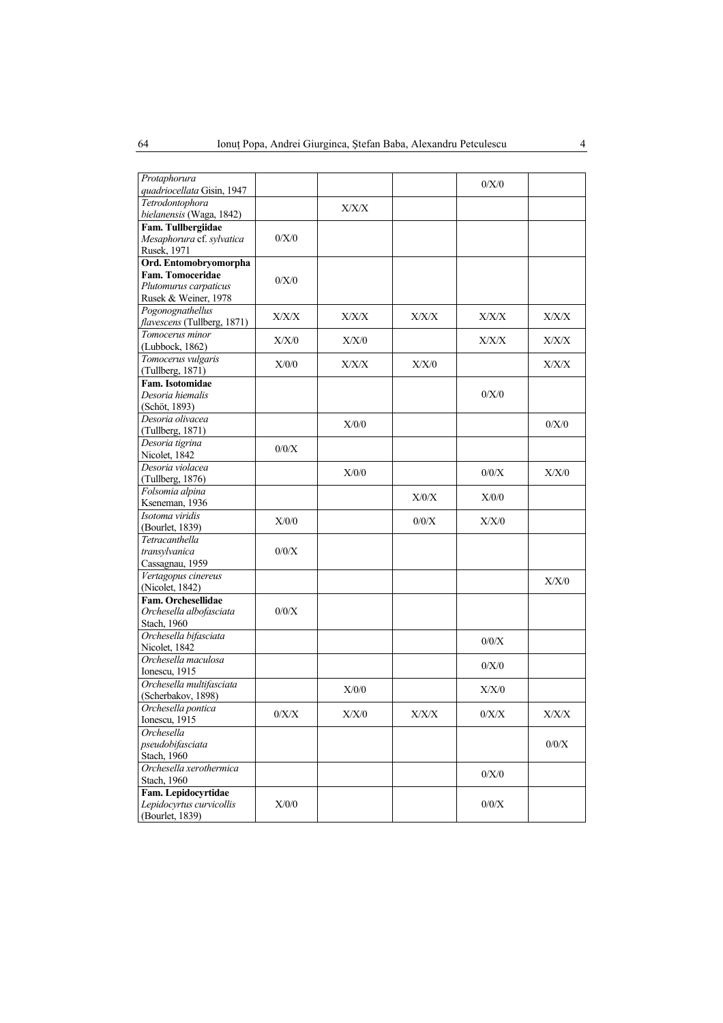| Protaphorura                |         |               |       |         |               |
|-----------------------------|---------|---------------|-------|---------|---------------|
| quadriocellata Gisin, 1947  |         |               |       | 0/X/0   |               |
| Tetrodontophora             |         | ${\rm X/X/X}$ |       |         |               |
| bielanensis (Waga, 1842)    |         |               |       |         |               |
| Fam. Tullbergiidae          |         |               |       |         |               |
| Mesaphorura cf. sylvatica   | 0/X/0   |               |       |         |               |
| Rusek, 1971                 |         |               |       |         |               |
| Ord. Entomobryomorpha       |         |               |       |         |               |
| Fam. Tomoceridae            | 0/X/0   |               |       |         |               |
| Plutomurus carpaticus       |         |               |       |         |               |
| Rusek & Weiner, 1978        |         |               |       |         |               |
| Pogonognathellus            | X/X/X   | X/X/X         | X/X/X | X/X/X   | X/X/X         |
| flavescens (Tullberg, 1871) |         |               |       |         |               |
| Tomocerus minor             | X/X/0   |               |       |         | X/X/X         |
| (Lubbock, 1862)             |         | X/X/0         |       | X/X/X   |               |
| Tomocerus vulgaris          |         |               |       |         |               |
| (Tullberg, 1871)            | X/0/0   | X/X/X         | X/X/0 |         | X/X/X         |
| Fam. Isotomidae             |         |               |       |         |               |
| Desoria hiemalis            |         |               |       | 0/X/0   |               |
| (Schöt, 1893)               |         |               |       |         |               |
| Desoria olivacea            |         |               |       |         |               |
| (Tullberg, 1871)            |         | X/0/0         |       |         | 0/X/0         |
| Desoria tigrina             |         |               |       |         |               |
| Nicolet, 1842               | 0/0/X   |               |       |         |               |
| Desoria violacea            |         |               |       |         |               |
|                             |         | X/0/0         |       | 0/0/X   | X/X/0         |
| (Tullberg, 1876)            |         |               |       |         |               |
| Folsomia alpina             |         |               | X/0/X | X/0/0   |               |
| Kseneman, 1936              |         |               |       |         |               |
| Isotoma viridis             | X/0/0   |               | 0/0/X | X/X/0   |               |
| (Bourlet, 1839)             |         |               |       |         |               |
| Tetracanthella              |         |               |       |         |               |
| transylvanica               | 0/0/X   |               |       |         |               |
| Cassagnau, 1959             |         |               |       |         |               |
| Vertagopus cinereus         |         |               |       |         | X/X/0         |
| (Nicolet, 1842)             |         |               |       |         |               |
| Fam. Orchesellidae          |         |               |       |         |               |
| Orchesella albofasciata     | 0/0/X   |               |       |         |               |
| Stach, 1960                 |         |               |       |         |               |
| Orchesella bifasciata       |         |               |       |         |               |
| Nicolet, 1842               |         |               |       | 0/0/X   |               |
| Orchesella maculosa         |         |               |       |         |               |
| Ionescu, 1915               |         |               |       | 0/X/0   |               |
| Orchesella multifasciata    |         |               |       |         |               |
| (Scherbakov, 1898)          |         | X/0/0         |       | X/X/0   |               |
| Orchesella pontica          |         |               |       |         |               |
| Ionescu, 1915               | $0/X/X$ | ${\rm X/X/0}$ | X/X/X | $0/X/X$ | ${\rm X/X/X}$ |
| Orchesella                  |         |               |       |         |               |
| pseudobifasciata            |         |               |       |         | $0/0/X$       |
| Stach, 1960                 |         |               |       |         |               |
| Orchesella xerothermica     |         |               |       |         |               |
| Stach, 1960                 |         |               |       | 0/X/0   |               |
| Fam. Lepidocyrtidae         |         |               |       |         |               |
| Lepidocyrtus curvicollis    | X/0/0   |               |       | $0/0/X$ |               |
| (Bourlet, 1839)             |         |               |       |         |               |
|                             |         |               |       |         |               |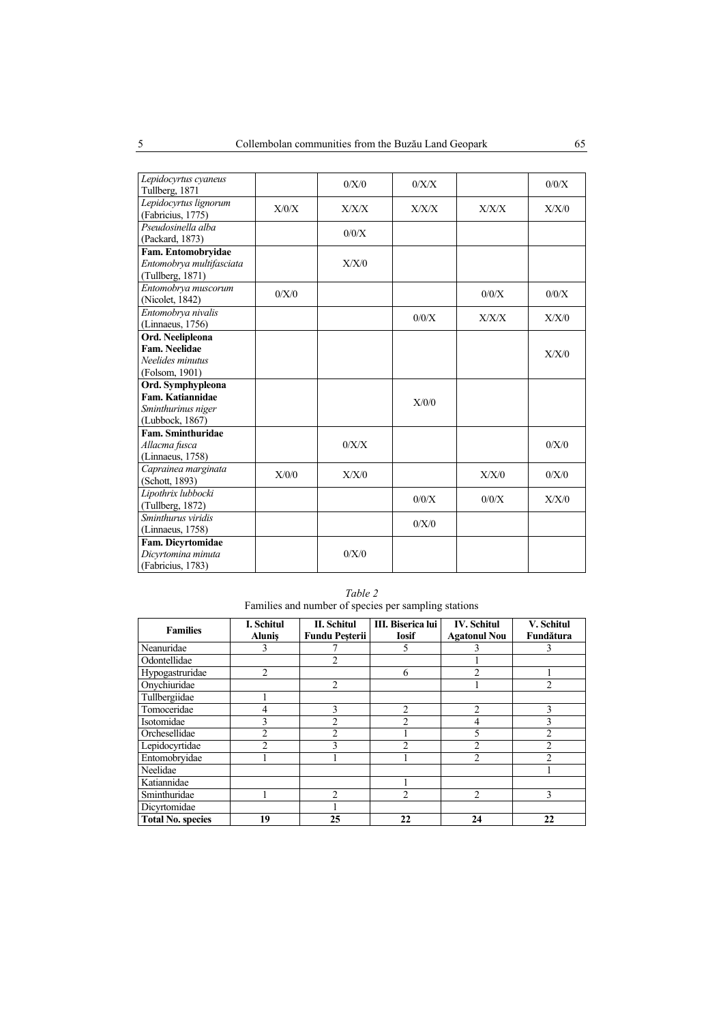| Lepidocyrtus cyaneus<br>Tullberg, 1871                             |       | 0/X/0 | 0/X/X |       | 0/0/X |
|--------------------------------------------------------------------|-------|-------|-------|-------|-------|
| Lepidocyrtus lignorum<br>(Fabricius, 1775)                         | X/0/X | X/X/X | X/X/X | X/X/X | X/X/0 |
| Pseudosinella alba<br>(Packard, 1873)                              |       | 0/0/X |       |       |       |
| Fam. Entomobryidae<br>Entomobrya multifasciata<br>(Tullberg, 1871) |       | X/X/0 |       |       |       |
| Entomobrya muscorum<br>(Nicolet, 1842)                             | 0/X/0 |       |       | 0/0/X | 0/0/X |
| Entomobrya nivalis<br>(Linnaeus, 1756)                             |       |       | 0/0/X | X/X/X | X/X/0 |
| Ord. Neelipleona                                                   |       |       |       |       |       |
| Fam. Neelidae                                                      |       |       |       |       |       |
| Neelides minutus                                                   |       |       |       |       | X/X/0 |
| (Folsom, 1901)                                                     |       |       |       |       |       |
| Ord. Symphypleona                                                  |       |       |       |       |       |
| Fam. Katiannidae                                                   |       |       |       |       |       |
|                                                                    |       |       | X/0/0 |       |       |
| Sminthurinus niger                                                 |       |       |       |       |       |
| (Lubbock, 1867)                                                    |       |       |       |       |       |
| Fam. Sminthuridae                                                  |       |       |       |       |       |
| Allacma fusca                                                      |       | 0/X/X |       |       | 0/X/0 |
| (Linnaeus, 1758)                                                   |       |       |       |       |       |
| Caprainea marginata                                                | X/0/0 | X/X/0 |       | X/X/0 | 0/X/0 |
| (Schott, 1893)                                                     |       |       |       |       |       |
| Lipothrix lubbocki                                                 |       |       |       |       |       |
| (Tullberg, 1872)                                                   |       |       | 0/0/X | 0/0/X | X/X/0 |
| Sminthurus viridis                                                 |       |       |       |       |       |
| (Linnaeus, 1758)                                                   |       |       | 0/X/0 |       |       |
| Fam. Dicyrtomidae                                                  |       |       |       |       |       |
| Dicyrtomina minuta                                                 |       | 0/X/0 |       |       |       |
| (Fabricius, 1783)                                                  |       |       |       |       |       |

*Table 2*  Families and number of species per sampling stations

| <b>Families</b>          | <b>I. Schitul</b><br><b>Alunis</b> | II. Schitul<br><b>Fundu Pesterii</b> | III. Biserica lui<br><b>Iosif</b> | <b>IV.</b> Schitul<br><b>Agatonul Nou</b> | V. Schitul<br>Fundătura |
|--------------------------|------------------------------------|--------------------------------------|-----------------------------------|-------------------------------------------|-------------------------|
| Neanuridae               | 3                                  |                                      | 5                                 |                                           | 3                       |
| Odontellidae             |                                    | 2                                    |                                   |                                           |                         |
| Hypogastruridae          | $\overline{c}$                     |                                      | 6                                 | $\mathfrak{D}$                            |                         |
| Onychiuridae             |                                    | $\overline{c}$                       |                                   |                                           | $\mathfrak{D}$          |
| Tullbergiidae            |                                    |                                      |                                   |                                           |                         |
| Tomoceridae              |                                    | $\mathcal{E}$                        | $\overline{c}$                    | $\overline{2}$                            | $\mathbf{3}$            |
| Isotomidae               |                                    | $\overline{2}$                       | $\mathfrak{D}$                    | 4                                         | 3                       |
| Orchesellidae            | 2                                  | 2                                    |                                   | 5                                         | $\overline{c}$          |
| Lepidocyrtidae           | $\mathfrak{D}$                     | 3                                    | $\mathfrak{D}$                    | $\overline{c}$                            | $\overline{2}$          |
| Entomobryidae            |                                    |                                      |                                   | 2                                         | っ                       |
| Neelidae                 |                                    |                                      |                                   |                                           |                         |
| Katiannidae              |                                    |                                      |                                   |                                           |                         |
| Sminthuridae             |                                    | າ                                    | っ                                 | $\mathfrak{D}$                            | 3                       |
| Dicyrtomidae             |                                    |                                      |                                   |                                           |                         |
| <b>Total No. species</b> | 19                                 | 25                                   | 22                                | 24                                        | 22                      |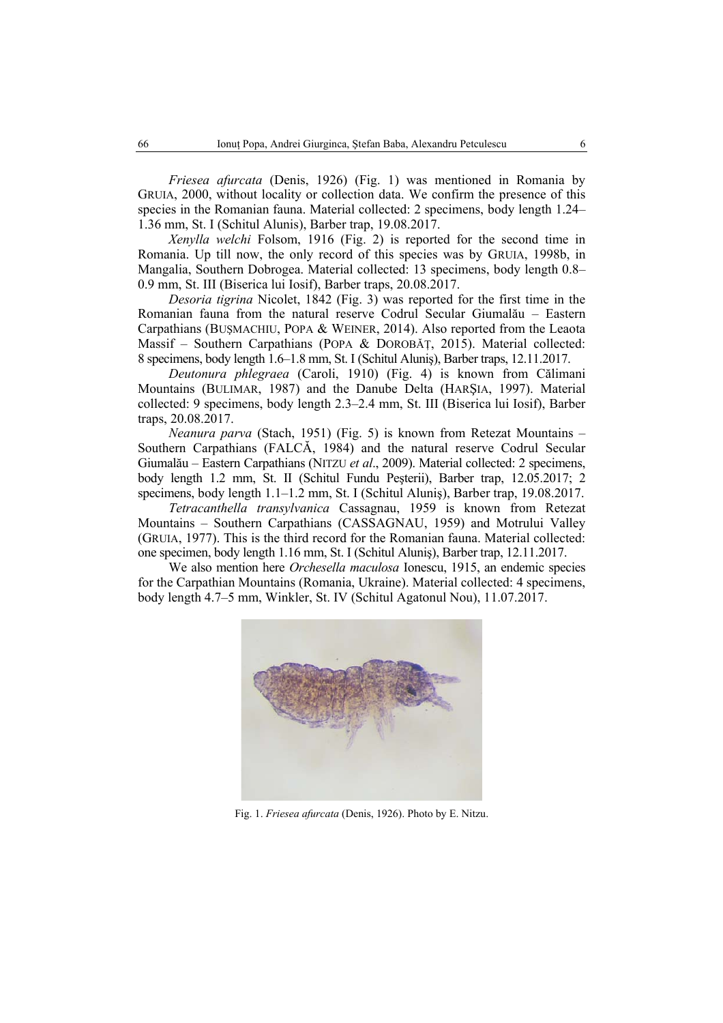*Friesea afurcata* (Denis, 1926) (Fig. 1) was mentioned in Romania by GRUIA, 2000, without locality or collection data. We confirm the presence of this species in the Romanian fauna. Material collected: 2 specimens, body length 1.24– 1.36 mm, St. I (Schitul Alunis), Barber trap, 19.08.2017.

*Xenylla welchi* Folsom, 1916 (Fig. 2) is reported for the second time in Romania. Up till now, the only record of this species was by GRUIA, 1998b, in Mangalia, Southern Dobrogea. Material collected: 13 specimens, body length 0.8– 0.9 mm, St. III (Biserica lui Iosif), Barber traps, 20.08.2017.

*Desoria tigrina* Nicolet, 1842 (Fig. 3) was reported for the first time in the Romanian fauna from the natural reserve Codrul Secular Giumalău – Eastern Carpathians (BUŞMACHIU, POPA & WEINER, 2014). Also reported from the Leaota Massif – Southern Carpathians (POPA & DOROBAT, 2015). Material collected: 8 specimens, body length 1.6–1.8 mm, St. I (Schitul Aluniş), Barber traps, 12.11.2017.

*Deutonura phlegraea* (Caroli, 1910) (Fig. 4) is known from Călimani Mountains (BULIMAR, 1987) and the Danube Delta (HARŞIA, 1997). Material collected: 9 specimens, body length 2.3–2.4 mm, St. III (Biserica lui Iosif), Barber traps, 20.08.2017.

*Neanura parva* (Stach, 1951) (Fig. 5) is known from Retezat Mountains – Southern Carpathians (FALCĂ, 1984) and the natural reserve Codrul Secular Giumalău – Eastern Carpathians (NITZU *et al*., 2009). Material collected: 2 specimens, body length 1.2 mm, St. II (Schitul Fundu Peşterii), Barber trap, 12.05.2017; 2 specimens, body length 1.1–1.2 mm, St. I (Schitul Aluniş), Barber trap, 19.08.2017.

*Tetracanthella transylvanica* Cassagnau, 1959 is known from Retezat Mountains – Southern Carpathians (CASSAGNAU, 1959) and Motrului Valley (GRUIA, 1977). This is the third record for the Romanian fauna. Material collected: one specimen, body length 1.16 mm, St. I (Schitul Aluniş), Barber trap, 12.11.2017.

We also mention here *Orchesella maculosa* Ionescu, 1915, an endemic species for the Carpathian Mountains (Romania, Ukraine). Material collected: 4 specimens, body length 4.7–5 mm, Winkler, St. IV (Schitul Agatonul Nou), 11.07.2017.



Fig. 1. *Friesea afurcata* (Denis, 1926). Photo by E. Nitzu.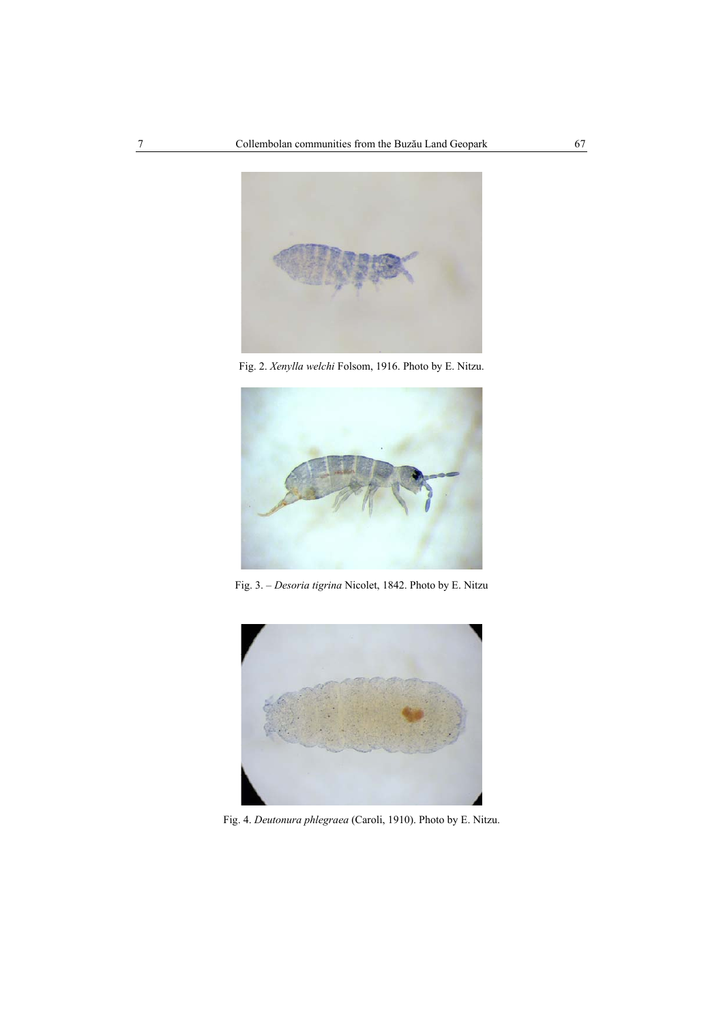

Fig. 2. *Xenylla welchi* Folsom, 1916. Photo by E. Nitzu.



Fig. 3. – *Desoria tigrina* Nicolet, 1842. Photo by E. Nitzu



Fig. 4. *Deutonura phlegraea* (Caroli, 1910). Photo by E. Nitzu.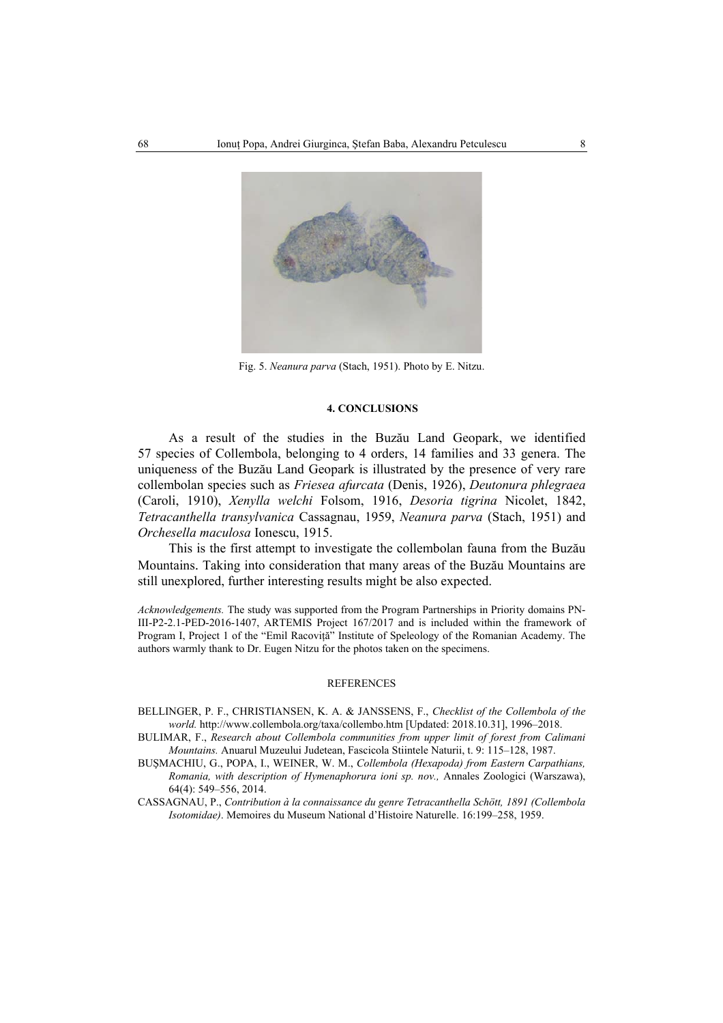

Fig. 5. *Neanura parva* (Stach, 1951). Photo by E. Nitzu.

#### **4. CONCLUSIONS**

As a result of the studies in the Buzău Land Geopark, we identified 57 species of Collembola, belonging to 4 orders, 14 families and 33 genera. The uniqueness of the Buzău Land Geopark is illustrated by the presence of very rare collembolan species such as *Friesea afurcata* (Denis, 1926), *Deutonura phlegraea*  (Caroli, 1910), *Xenylla welchi* Folsom, 1916, *Desoria tigrina* Nicolet, 1842, *Tetracanthella transylvanica* Cassagnau, 1959, *Neanura parva* (Stach, 1951) and *Orchesella maculosa* Ionescu, 1915.

This is the first attempt to investigate the collembolan fauna from the Buzău Mountains. Taking into consideration that many areas of the Buzău Mountains are still unexplored, further interesting results might be also expected.

*Acknowledgements.* The study was supported from the Program Partnerships in Priority domains PN-III-P2-2.1-PED-2016-1407, ARTEMIS Project 167/2017 and is included within the framework of Program I, Project 1 of the "Emil Racoviţă" Institute of Speleology of the Romanian Academy. The authors warmly thank to Dr. Eugen Nitzu for the photos taken on the specimens.

#### REFERENCES

- BELLINGER, P. F., CHRISTIANSEN, K. A. & JANSSENS, F., *Checklist of the Collembola of the world.* http://www.collembola.org/taxa/collembo.htm [Updated: 2018.10.31], 1996–2018.
- BULIMAR, F., *Research about Collembola communities from upper limit of forest from Calimani Mountains.* Anuarul Muzeului Judetean, Fascicola Stiintele Naturii, t. 9: 115–128, 1987.
- BUŞMACHIU, G., POPA, I., WEINER, W. M., *Collembola (Hexapoda) from Eastern Carpathians, Romania, with description of Hymenaphorura ioni sp. nov.,* Annales Zoologici (Warszawa), 64(4): 549–556, 2014.

CASSAGNAU, P., *Contribution à la connaissance du genre Tetracanthella Schött, 1891 (Collembola Isotomidae)*. Memoires du Museum National d'Histoire Naturelle. 16:199–258, 1959.